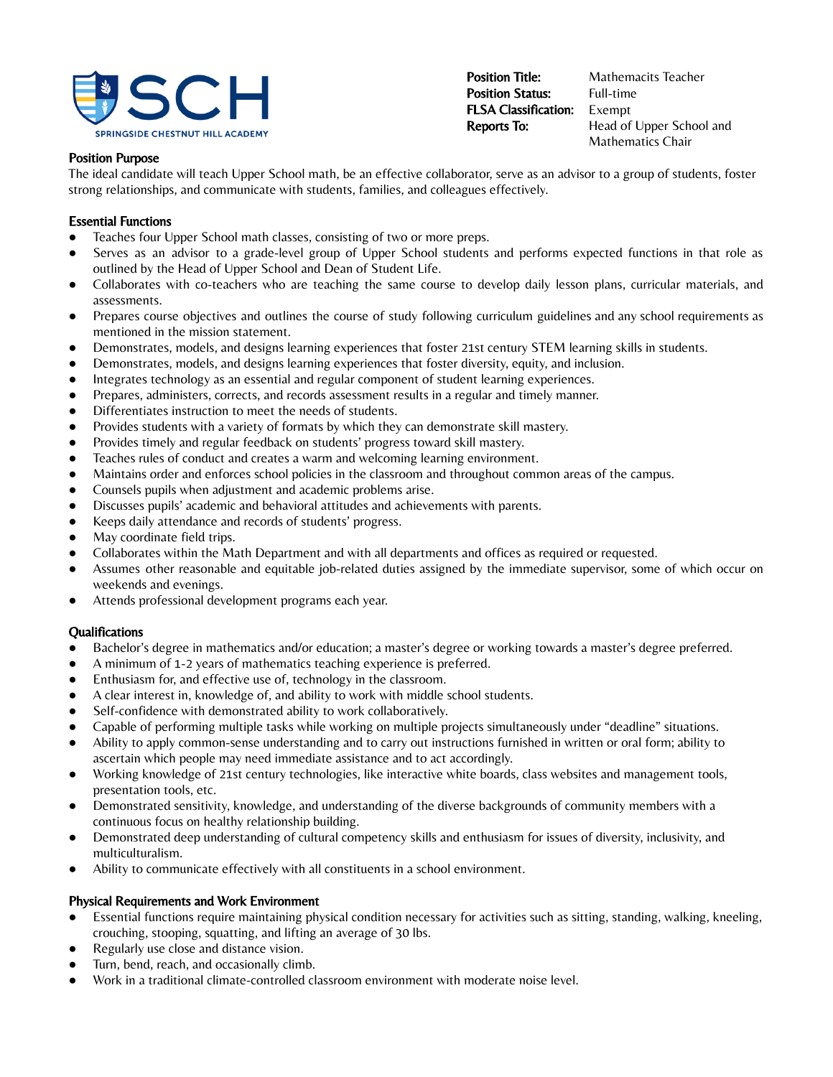

**Position Title:** Mathemacits Teacher **Position Status:** Full-time FLSA Classification: Exempt

**Reports To:** Head of Upper School and Mathematics Chair

### Position Purpose

The ideal candidate will teach Upper School math, be an effective collaborator, serve as an advisor to a group of students, foster strong relationships, and communicate with students, families, and colleagues effectively.

## Essential Functions

- Teaches four Upper School math classes, consisting of two or more preps.
- Serves as an advisor to a grade-level group of Upper School students and performs expected functions in that role as outlined by the Head of Upper School and Dean of Student Life.
- Collaborates with co-teachers who are teaching the same course to develop daily lesson plans, curricular materials, and assessments.
- Prepares course objectives and outlines the course of study following curriculum guidelines and any school requirements as mentioned in the mission statement.
- Demonstrates, models, and designs learning experiences that foster 21st century STEM learning skills in students.
- Demonstrates, models, and designs learning experiences that foster diversity, equity, and inclusion.
- Integrates technology as an essential and regular component of student learning experiences.
- Prepares, administers, corrects, and records assessment results in a regular and timely manner.
- Differentiates instruction to meet the needs of students.
- Provides students with a variety of formats by which they can demonstrate skill mastery.
- Provides timely and regular feedback on students' progress toward skill mastery.
- Teaches rules of conduct and creates a warm and welcoming learning environment.
- Maintains order and enforces school policies in the classroom and throughout common areas of the campus.
- Counsels pupils when adjustment and academic problems arise.
- Discusses pupils' academic and behavioral attitudes and achievements with parents.
- Keeps daily attendance and records of students' progress.
- May coordinate field trips.
- Collaborates within the Math Department and with all departments and offices as required or requested.
- Assumes other reasonable and equitable job-related duties assigned by the immediate supervisor, some of which occur on weekends and evenings.
- Attends professional development programs each year.

## **Oualifications**

- Bachelor's degree in mathematics and/or education; a master's degree or working towards a master's degree preferred.
- A minimum of 1-2 years of mathematics teaching experience is preferred.
- Enthusiasm for, and effective use of, technology in the classroom.
- A clear interest in, knowledge of, and ability to work with middle school students.
- Self-confidence with demonstrated ability to work collaboratively.
- Capable of performing multiple tasks while working on multiple projects simultaneously under "deadline" situations.
- Ability to apply common-sense understanding and to carry out instructions furnished in written or oral form; ability to ascertain which people may need immediate assistance and to act accordingly.
- Working knowledge of 21st century technologies, like interactive white boards, class websites and management tools, presentation tools, etc.
- Demonstrated sensitivity, knowledge, and understanding of the diverse backgrounds of community members with a continuous focus on healthy relationship building.
- Demonstrated deep understanding of cultural competency skills and enthusiasm for issues of diversity, inclusivity, and multiculturalism.
- Ability to communicate effectively with all constituents in a school environment.

## Physical Requirements and Work Environment

- Essential functions require maintaining physical condition necessary for activities such as sitting, standing, walking, kneeling, crouching, stooping, squatting, and lifting an average of 30 lbs.
- Regularly use close and distance vision.
- Turn, bend, reach, and occasionally climb.
- Work in a traditional climate-controlled classroom environment with moderate noise level.